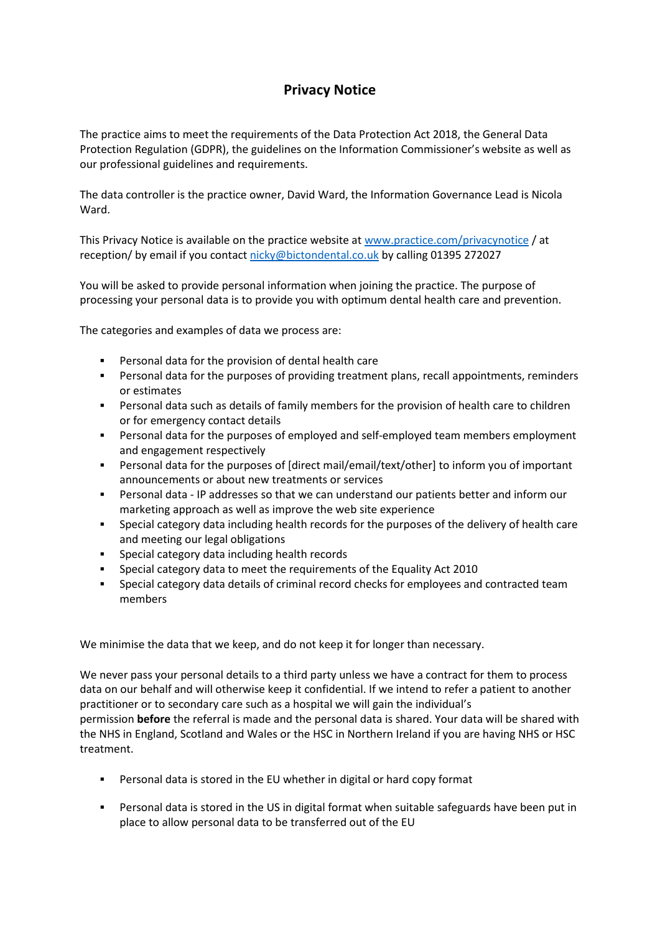## **Privacy Notice**

The practice aims to meet the requirements of the Data Protection Act 2018, the General Data Protection Regulation (GDPR), the guidelines on the Information Commissioner's website as well as our professional guidelines and requirements.

The data controller is the practice owner, David Ward, the Information Governance Lead is Nicola Ward.

This Privacy Notice is available on the practice website at [www.practice.com/privacynotice](http://www.practice.com/) / at reception/ by email if you contact [nicky@bictondental.co.uk](mailto:nicky@bictondental.co.uk) by calling 01395 272027

You will be asked to provide personal information when joining the practice. The purpose of processing your personal data is to provide you with optimum dental health care and prevention.

The categories and examples of data we process are:

- Personal data for the provision of dental health care
- Personal data for the purposes of providing treatment plans, recall appointments, reminders or estimates
- Personal data such as details of family members for the provision of health care to children or for emergency contact details
- Personal data for the purposes of employed and self-employed team members employment and engagement respectively
- Personal data for the purposes of [direct mail/email/text/other] to inform you of important announcements or about new treatments or services
- Personal data IP addresses so that we can understand our patients better and inform our marketing approach as well as improve the web site experience
- Special category data including health records for the purposes of the delivery of health care and meeting our legal obligations
- **Special category data including health records**
- Special category data to meet the requirements of the Equality Act 2010
- Special category data details of criminal record checks for employees and contracted team members

We minimise the data that we keep, and do not keep it for longer than necessary.

We never pass your personal details to a third party unless we have a contract for them to process data on our behalf and will otherwise keep it confidential. If we intend to refer a patient to another practitioner or to secondary care such as a hospital we will gain the individual's permission **before** the referral is made and the personal data is shared. Your data will be shared with the NHS in England, Scotland and Wales or the HSC in Northern Ireland if you are having NHS or HSC treatment.

- Personal data is stored in the EU whether in digital or hard copy format
- Personal data is stored in the US in digital format when suitable safeguards have been put in place to allow personal data to be transferred out of the EU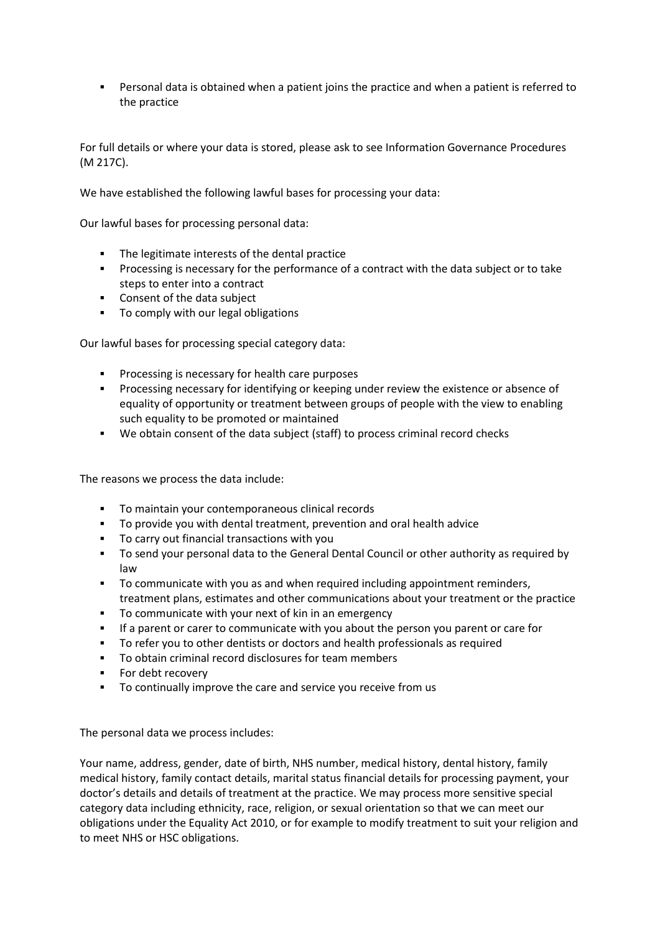Personal data is obtained when a patient joins the practice and when a patient is referred to the practice

For full details or where your data is stored, please ask to see Information Governance Procedures (M 217C).

We have established the following lawful bases for processing your data:

Our lawful bases for processing personal data:

- The legitimate interests of the dental practice
- Processing is necessary for the performance of a contract with the data subject or to take steps to enter into a contract
- **Consent of the data subject**
- To comply with our legal obligations

Our lawful bases for processing special category data:

- **Processing is necessary for health care purposes**
- **Processing necessary for identifying or keeping under review the existence or absence of** equality of opportunity or treatment between groups of people with the view to enabling such equality to be promoted or maintained
- We obtain consent of the data subject (staff) to process criminal record checks

The reasons we process the data include:

- To maintain your contemporaneous clinical records
- To provide you with dental treatment, prevention and oral health advice
- To carry out financial transactions with you
- To send your personal data to the General Dental Council or other authority as required by law
- To communicate with you as and when required including appointment reminders, treatment plans, estimates and other communications about your treatment or the practice
- To communicate with your next of kin in an emergency
- If a parent or carer to communicate with you about the person you parent or care for
- To refer you to other dentists or doctors and health professionals as required
- To obtain criminal record disclosures for team members
- **For debt recovery**
- To continually improve the care and service you receive from us

The personal data we process includes:

Your name, address, gender, date of birth, NHS number, medical history, dental history, family medical history, family contact details, marital status financial details for processing payment, your doctor's details and details of treatment at the practice. We may process more sensitive special category data including ethnicity, race, religion, or sexual orientation so that we can meet our obligations under the Equality Act 2010, or for example to modify treatment to suit your religion and to meet NHS or HSC obligations.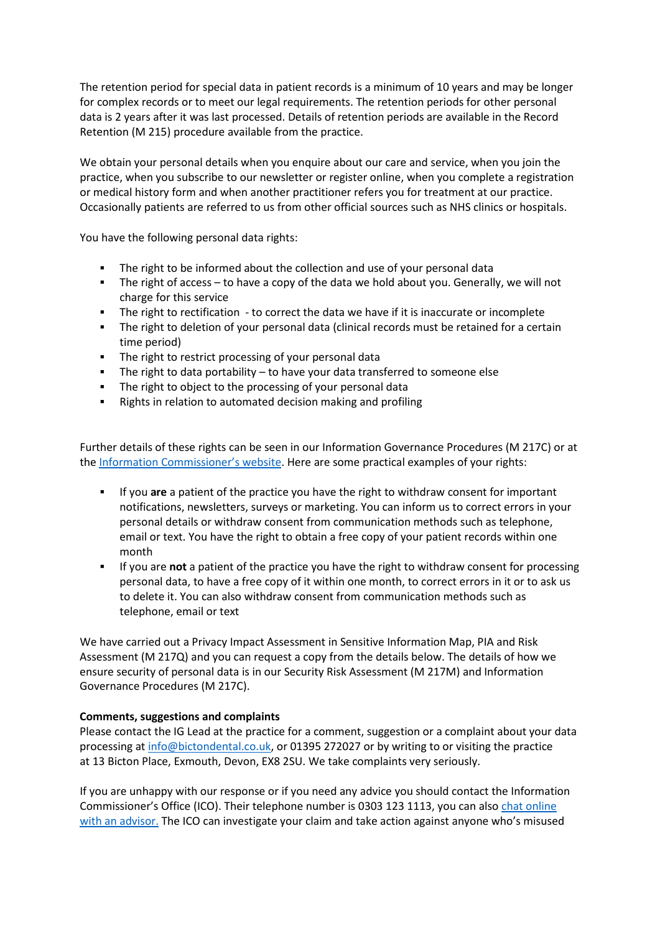The retention period for special data in patient records is a minimum of 10 years and may be longer for complex records or to meet our legal requirements. The retention periods for other personal data is 2 years after it was last processed. Details of retention periods are available in the Record Retention (M 215) procedure available from the practice.

We obtain your personal details when you enquire about our care and service, when you join the practice, when you subscribe to our newsletter or register online, when you complete a registration or medical history form and when another practitioner refers you for treatment at our practice. Occasionally patients are referred to us from other official sources such as NHS clinics or hospitals.

You have the following personal data rights:

- The right to be informed about the collection and use of your personal data
- The right of access to have a copy of the data we hold about you. Generally, we will not charge for this service
- The right to rectification to correct the data we have if it is inaccurate or incomplete
- The right to deletion of your personal data (clinical records must be retained for a certain time period)
- **The right to restrict processing of your personal data**
- The right to data portability to have your data transferred to someone else
- The right to object to the processing of your personal data
- Rights in relation to automated decision making and profiling

Further details of these rights can be seen in our Information Governance Procedures (M 217C) or at the [Information Commissioner's website.](https://ico.org.uk/for-organisations/guide-to-the-general-data-protection-regulation-gdpr/individual-rights/) Here are some practical examples of your rights:

- If you **are** a patient of the practice you have the right to withdraw consent for important notifications, newsletters, surveys or marketing. You can inform us to correct errors in your personal details or withdraw consent from communication methods such as telephone, email or text. You have the right to obtain a free copy of your patient records within one month
- If you are **not** a patient of the practice you have the right to withdraw consent for processing personal data, to have a free copy of it within one month, to correct errors in it or to ask us to delete it. You can also withdraw consent from communication methods such as telephone, email or text

We have carried out a Privacy Impact Assessment in Sensitive Information Map, PIA and Risk Assessment (M 217Q) and you can request a copy from the details below. The details of how we ensure security of personal data is in our Security Risk Assessment (M 217M) and Information Governance Procedures (M 217C).

#### **Comments, suggestions and complaints**

Please contact the IG Lead at the practice for a comment, suggestion or a complaint about your data processing at [info@bictondental.co.uk,](mailto:info@bictondental.co.uk) or 01395 272027 or by writing to or visiting the practice at 13 Bicton Place, Exmouth, Devon, EX8 2SU. We take complaints very seriously.

If you are unhappy with our response or if you need any advice you should contact the Information Commissioner's Office (ICO). Their telephone number is 0303 123 1113, you can also [chat online](https://ico.org.uk/global/contact-us/live-chat/)  [with an advisor.](https://ico.org.uk/global/contact-us/live-chat/) The ICO can investigate your claim and take action against anyone who's misused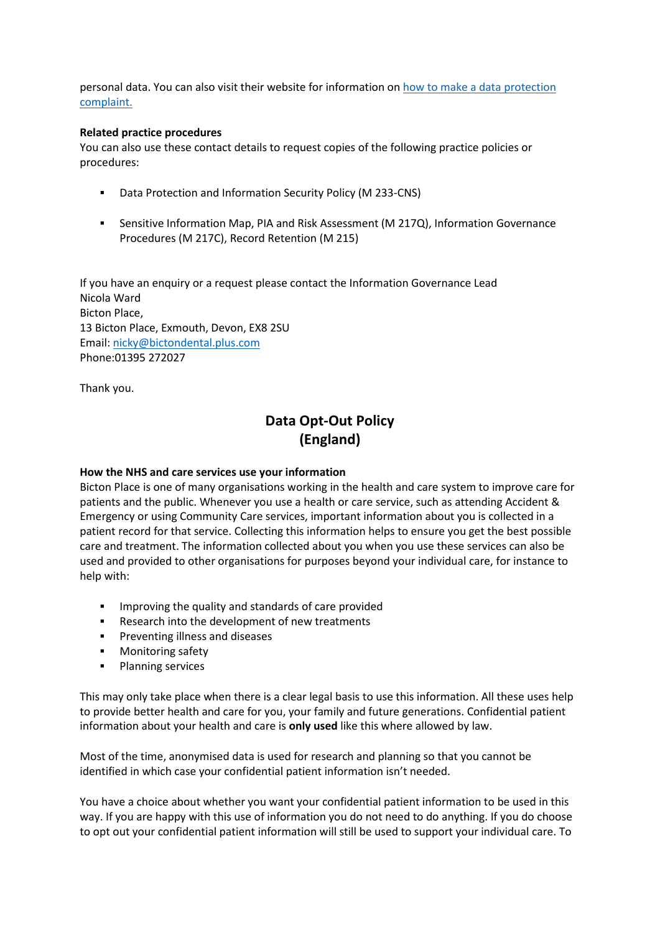personal data. You can also visit their website for information on [how to make a data protection](http://www.ico.org.uk/complaints)  [complaint.](http://www.ico.org.uk/complaints)

#### **Related practice procedures**

You can also use these contact details to request copies of the following practice policies or procedures:

- Data Protection and Information Security Policy (M 233-CNS)
- Sensitive Information Map, PIA and Risk Assessment (M 217Q), Information Governance Procedures (M 217C), Record Retention (M 215)

If you have an enquiry or a request please contact the Information Governance Lead Nicola Ward Bicton Place, 13 Bicton Place, Exmouth, Devon, EX8 2SU Email: [nicky@bictondental.plus.com](mailto:nicky@bictondental.plus.com) Phone:01395 272027

Thank you.

# **Data Opt-Out Policy (England)**

#### **How the NHS and care services use your information**

Bicton Place is one of many organisations working in the health and care system to improve care for patients and the public. Whenever you use a health or care service, such as attending Accident & Emergency or using Community Care services, important information about you is collected in a patient record for that service. Collecting this information helps to ensure you get the best possible care and treatment. The information collected about you when you use these services can also be used and provided to other organisations for purposes beyond your individual care, for instance to help with:

- **IMPROVING the quality and standards of care provided**
- Research into the development of new treatments
- **Preventing illness and diseases**
- **Monitoring safety**
- Planning services

This may only take place when there is a clear legal basis to use this information. All these uses help to provide better health and care for you, your family and future generations. Confidential patient information about your health and care is **only used** like this where allowed by law.

Most of the time, anonymised data is used for research and planning so that you cannot be identified in which case your confidential patient information isn't needed.

You have a choice about whether you want your confidential patient information to be used in this way. If you are happy with this use of information you do not need to do anything. If you do choose to opt out your confidential patient information will still be used to support your individual care. To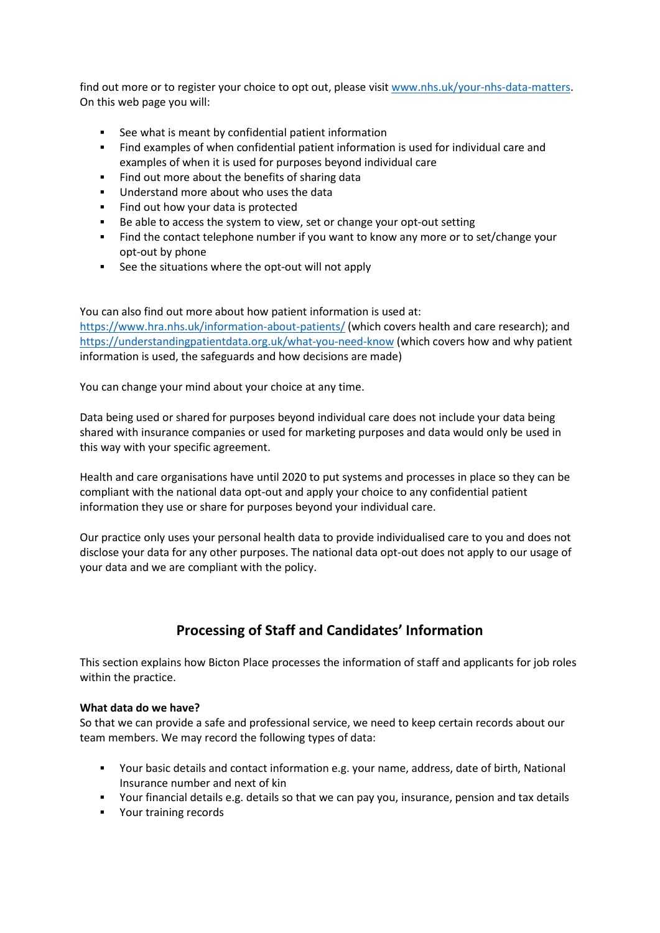find out more or to register your choice to opt out, please visit [www.nhs.uk/your-nhs-data-matters.](http://www.nhs.uk/your-nhs-data-matters) On this web page you will:

- See what is meant by confidential patient information
- Find examples of when confidential patient information is used for individual care and examples of when it is used for purposes beyond individual care
- Find out more about the benefits of sharing data
- **Understand more about who uses the data**
- Find out how your data is protected
- Be able to access the system to view, set or change your opt-out setting
- Find the contact telephone number if you want to know any more or to set/change your opt-out by phone
- See the situations where the opt-out will not apply

You can also find out more about how patient information is used at: <https://www.hra.nhs.uk/information-about-patients/> (which covers health and care research); and <https://understandingpatientdata.org.uk/what-you-need-know> (which covers how and why patient information is used, the safeguards and how decisions are made)

You can change your mind about your choice at any time.

Data being used or shared for purposes beyond individual care does not include your data being shared with insurance companies or used for marketing purposes and data would only be used in this way with your specific agreement.

Health and care organisations have until 2020 to put systems and processes in place so they can be compliant with the national data opt-out and apply your choice to any confidential patient information they use or share for purposes beyond your individual care.

Our practice only uses your personal health data to provide individualised care to you and does not disclose your data for any other purposes. The national data opt-out does not apply to our usage of your data and we are compliant with the policy.

### **Processing of Staff and Candidates' Information**

This section explains how Bicton Place processes the information of staff and applicants for job roles within the practice.

#### **What data do we have?**

So that we can provide a safe and professional service, we need to keep certain records about our team members. We may record the following types of data:

- Your basic details and contact information e.g. your name, address, date of birth, National Insurance number and next of kin
- Your financial details e.g. details so that we can pay you, insurance, pension and tax details
- **•** Your training records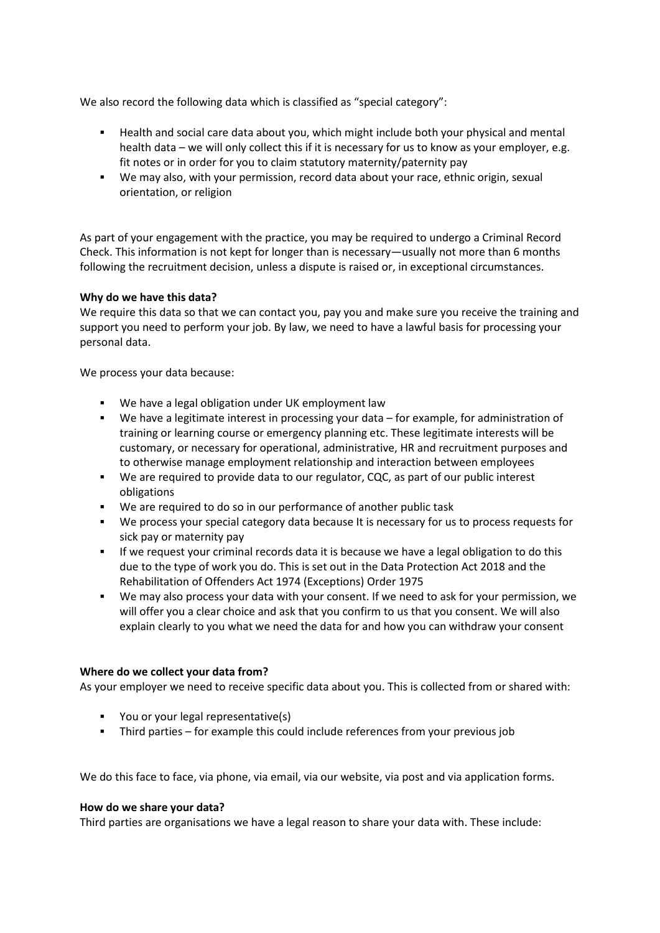We also record the following data which is classified as "special category":

- Health and social care data about you, which might include both your physical and mental health data – we will only collect this if it is necessary for us to know as your employer, e.g. fit notes or in order for you to claim statutory maternity/paternity pay
- We may also, with your permission, record data about your race, ethnic origin, sexual orientation, or religion

As part of your engagement with the practice, you may be required to undergo a Criminal Record Check. This information is not kept for longer than is necessary—usually not more than 6 months following the recruitment decision, unless a dispute is raised or, in exceptional circumstances.

#### **Why do we have this data?**

We require this data so that we can contact you, pay you and make sure you receive the training and support you need to perform your job. By law, we need to have a lawful basis for processing your personal data.

We process your data because:

- We have a legal obligation under UK employment law
- We have a legitimate interest in processing your data for example, for administration of training or learning course or emergency planning etc. These legitimate interests will be customary, or necessary for operational, administrative, HR and recruitment purposes and to otherwise manage employment relationship and interaction between employees
- We are required to provide data to our regulator, CQC, as part of our public interest obligations
- We are required to do so in our performance of another public task
- We process your special category data because It is necessary for us to process requests for sick pay or maternity pay
- **If we request your criminal records data it is because we have a legal obligation to do this** due to the type of work you do. This is set out in the Data Protection Act 2018 and the Rehabilitation of Offenders Act 1974 (Exceptions) Order 1975
- We may also process your data with your consent. If we need to ask for your permission, we will offer you a clear choice and ask that you confirm to us that you consent. We will also explain clearly to you what we need the data for and how you can withdraw your consent

#### **Where do we collect your data from?**

As your employer we need to receive specific data about you. This is collected from or shared with:

- You or your legal representative(s)
- Third parties for example this could include references from your previous job

We do this face to face, via phone, via email, via our website, via post and via application forms.

#### **How do we share your data?**

Third parties are organisations we have a legal reason to share your data with. These include: